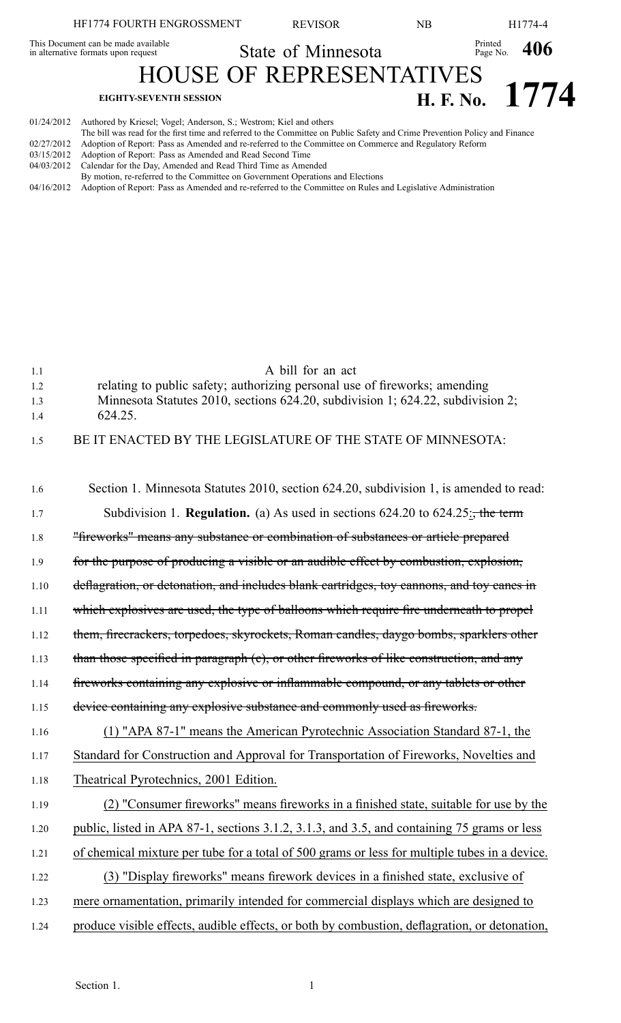|                                                                            | HF1774 FOURTH ENGROSSMENT                                                     | <b>REVISOR</b>     | NΒ |                                  | H1774-4          |  |
|----------------------------------------------------------------------------|-------------------------------------------------------------------------------|--------------------|----|----------------------------------|------------------|--|
| This Document can be made available<br>in alternative formats upon request |                                                                               | State of Minnesota |    | Printed $_{\text{Page No.}}$ 406 |                  |  |
|                                                                            | <b>HOUSE OF REPRESENTATIVES</b>                                               |                    |    |                                  |                  |  |
|                                                                            | <b>EIGHTY-SEVENTH SESSION</b>                                                 |                    |    |                                  | H. F. No. $1774$ |  |
|                                                                            | 01/24/2012 Authored by Kriesel; Vogel; Anderson, S.; Westrom; Kiel and others |                    |    |                                  |                  |  |

- The bill was read for the first time and referred to the Committee on Public Safety and Crime Prevention Policy and Finance 02/27/2012 Adoption of Report: Pass as Amended and re-referred to the Committee on Commerce and Regulatory Reform
- 03/15/2012 Adoption of Report: Pass as Amended and Read Second Time 04/03/2012 Calendar for the Day, Amended and Read Third Time as Amended
- By motion, re-referred to the Committee on Government Operations and Elections
- 04/16/2012 Adoption of Report: Pass as Amended and re-referred to the Committee on Rules and Legislative Administration

| 1.1<br>1.2<br>1.3<br>1.4 | A bill for an act<br>relating to public safety; authorizing personal use of fireworks; amending<br>Minnesota Statutes 2010, sections 624.20, subdivision 1; 624.22, subdivision 2;<br>624.25. |
|--------------------------|-----------------------------------------------------------------------------------------------------------------------------------------------------------------------------------------------|
| 1.5                      | BE IT ENACTED BY THE LEGISLATURE OF THE STATE OF MINNESOTA:                                                                                                                                   |
| 1.6                      | Section 1. Minnesota Statutes 2010, section 624.20, subdivision 1, is amended to read:                                                                                                        |
| 1.7                      | Subdivision 1. <b>Regulation.</b> (a) As used in sections $624.20$ to $624.25$ ; the term                                                                                                     |
| 1.8                      | "fireworks" means any substance or combination of substances or article prepared                                                                                                              |
| 1.9                      | for the purpose of producing a visible or an audible effect by combustion, explosion,                                                                                                         |
| 1.10                     | deflagration, or detonation, and includes blank cartridges, toy cannons, and toy canes in                                                                                                     |
| 1.11                     | which explosives are used, the type of balloons which require fire underneath to propel                                                                                                       |
| 1.12                     | them, firecrackers, torpedoes, skyrockets, Roman candles, daygo bombs, sparklers other                                                                                                        |
| 1.13                     | than those specified in paragraph (c), or other fireworks of like construction, and any                                                                                                       |
| 1.14                     | fireworks containing any explosive or inflammable compound, or any tablets or other                                                                                                           |
| 1.15                     | device containing any explosive substance and commonly used as fireworks.                                                                                                                     |
| 1.16                     | (1) "APA 87-1" means the American Pyrotechnic Association Standard 87-1, the                                                                                                                  |
| 1.17                     | Standard for Construction and Approval for Transportation of Fireworks, Novelties and                                                                                                         |
| 1.18                     | Theatrical Pyrotechnics, 2001 Edition.                                                                                                                                                        |
| 1.19                     | (2) "Consumer fireworks" means fireworks in a finished state, suitable for use by the                                                                                                         |
| 1.20                     | public, listed in APA 87-1, sections 3.1.2, 3.1.3, and 3.5, and containing 75 grams or less                                                                                                   |
| 1.21                     | of chemical mixture per tube for a total of 500 grams or less for multiple tubes in a device.                                                                                                 |
| 1.22                     | (3) "Display fireworks" means firework devices in a finished state, exclusive of                                                                                                              |
| 1.23                     | mere ornamentation, primarily intended for commercial displays which are designed to                                                                                                          |
| 1.24                     | produce visible effects, audible effects, or both by combustion, deflagration, or detonation,                                                                                                 |
|                          |                                                                                                                                                                                               |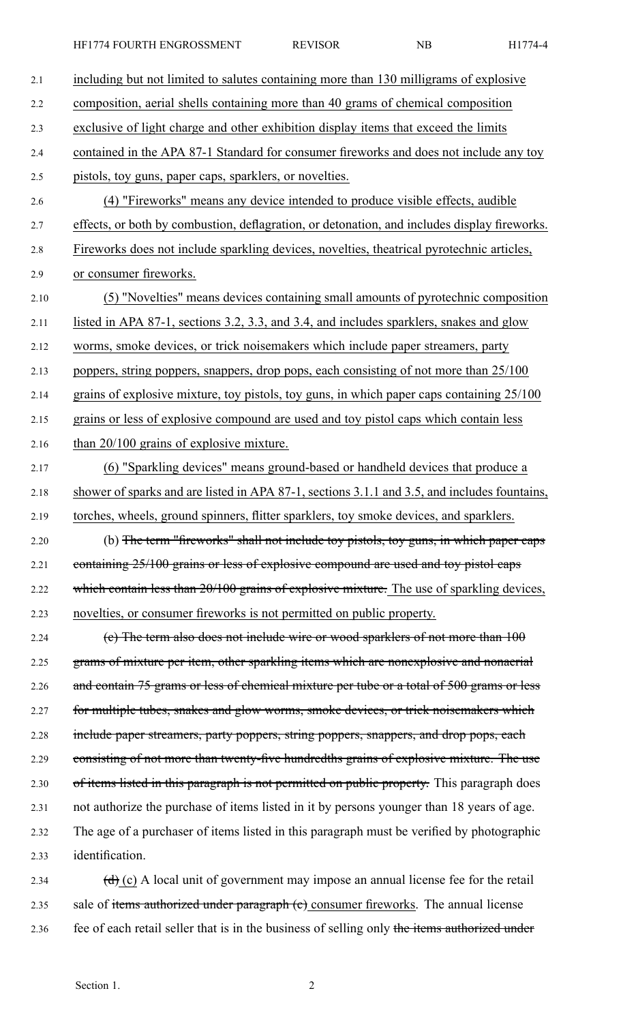HF1774 FOURTH ENGROSSMENT REVISOR NB H1774-4

| 2.1  | including but not limited to salutes containing more than 130 milligrams of explosive                     |
|------|-----------------------------------------------------------------------------------------------------------|
| 2.2  | composition, aerial shells containing more than 40 grams of chemical composition                          |
| 2.3  | exclusive of light charge and other exhibition display items that exceed the limits                       |
| 2.4  | contained in the APA 87-1 Standard for consumer fireworks and does not include any toy                    |
| 2.5  | pistols, toy guns, paper caps, sparklers, or novelties.                                                   |
| 2.6  | (4) "Fireworks" means any device intended to produce visible effects, audible                             |
| 2.7  | effects, or both by combustion, deflagration, or detonation, and includes display fireworks.              |
| 2.8  | Fireworks does not include sparkling devices, novelties, the atrical pyrotechnic articles,                |
| 2.9  | or consumer fireworks.                                                                                    |
| 2.10 | (5) "Novelties" means devices containing small amounts of pyrotechnic composition                         |
| 2.11 | listed in APA 87-1, sections 3.2, 3.3, and 3.4, and includes sparklers, snakes and glow                   |
| 2.12 | worms, smoke devices, or trick noisemakers which include paper streamers, party                           |
| 2.13 | poppers, string poppers, snappers, drop pops, each consisting of not more than 25/100                     |
| 2.14 | grains of explosive mixture, toy pistols, toy guns, in which paper caps containing 25/100                 |
| 2.15 | grains or less of explosive compound are used and toy pistol caps which contain less                      |
| 2.16 | than 20/100 grains of explosive mixture.                                                                  |
| 2.17 | (6) "Sparkling devices" means ground-based or handheld devices that produce a                             |
| 2.18 | shower of sparks and are listed in APA 87-1, sections 3.1.1 and 3.5, and includes fountains,              |
| 2.19 | torches, wheels, ground spinners, flitter sparklers, toy smoke devices, and sparklers.                    |
| 2.20 | (b) The term "fireworks" shall not include toy pistols, toy guns, in which paper caps                     |
| 2.21 | containing 25/100 grains or less of explosive compound are used and toy pistol caps                       |
| 2.22 | which contain less than 20/100 grains of explosive mixture. The use of sparkling devices,                 |
| 2.23 | novelties, or consumer fireworks is not permitted on public property.                                     |
| 2.24 | (e) The term also does not include wire or wood sparklers of not more than 100                            |
| 2.25 | grams of mixture per item, other sparkling items which are nonexplosive and nonaerial                     |
| 2.26 | and contain 75 grams or less of chemical mixture per tube or a total of 500 grams or less                 |
| 2.27 | for multiple tubes, snakes and glow worms, smoke devices, or trick noisemakers which                      |
| 2.28 | include paper streamers, party poppers, string poppers, snappers, and drop pops, each                     |
| 2.29 | consisting of not more than twenty-five hundredths grains of explosive mixture. The use                   |
| 2.30 | of items listed in this paragraph is not permitted on public property. This paragraph does                |
| 2.31 | not authorize the purchase of items listed in it by persons younger than 18 years of age.                 |
| 2.32 | The age of a purchaser of items listed in this paragraph must be verified by photographic                 |
| 2.33 | identification.                                                                                           |
| 2.34 | $\left(\frac{d}{d}\right)$ (c) A local unit of government may impose an annual license fee for the retail |
| 2.35 | sale of items authorized under paragraph (e) consumer fireworks. The annual license                       |

2.36 fee of each retail seller that is in the business of selling only the items authorized under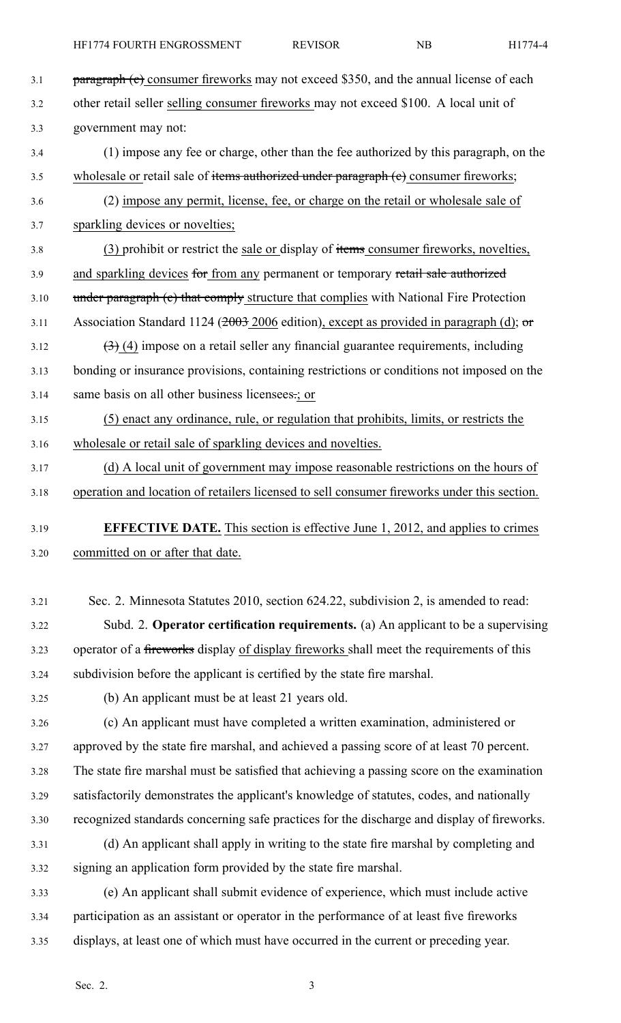| 3.1  | <b>paragraph (c)</b> consumer fireworks may not exceed \$350, and the annual license of each             |
|------|----------------------------------------------------------------------------------------------------------|
| 3.2  | other retail seller selling consumer fireworks may not exceed \$100. A local unit of                     |
| 3.3  | government may not:                                                                                      |
| 3.4  | (1) impose any fee or charge, other than the fee authorized by this paragraph, on the                    |
| 3.5  | wholesale or retail sale of items authorized under paragraph (e) consumer fireworks;                     |
| 3.6  | (2) impose any permit, license, fee, or charge on the retail or wholesale sale of                        |
| 3.7  | sparkling devices or novelties;                                                                          |
| 3.8  | (3) prohibit or restrict the sale or display of items consumer fireworks, novelties,                     |
| 3.9  | and sparkling devices for from any permanent or temporary retail sale authorized                         |
| 3.10 | under paragraph (c) that comply structure that complies with National Fire Protection                    |
| 3.11 | Association Standard 1124 ( $\frac{2003}{2006}$ edition), except as provided in paragraph (d); or        |
| 3.12 | $\left(\frac{1}{2}\right)$ (4) impose on a retail seller any financial guarantee requirements, including |
| 3.13 | bonding or insurance provisions, containing restrictions or conditions not imposed on the                |
| 3.14 | same basis on all other business licensees.; or                                                          |
| 3.15 | (5) enact any ordinance, rule, or regulation that prohibits, limits, or restricts the                    |
| 3.16 | wholesale or retail sale of sparkling devices and novelties.                                             |
| 3.17 | (d) A local unit of government may impose reasonable restrictions on the hours of                        |
| 3.18 | operation and location of retailers licensed to sell consumer fireworks under this section.              |
| 3.19 | <b>EFFECTIVE DATE.</b> This section is effective June 1, 2012, and applies to crimes                     |
| 3.20 | committed on or after that date.                                                                         |
|      |                                                                                                          |
| 3.21 | Sec. 2. Minnesota Statutes 2010, section 624.22, subdivision 2, is amended to read:                      |
| 3.22 | Subd. 2. Operator certification requirements. (a) An applicant to be a supervising                       |
| 3.23 | operator of a fireworks display of display fireworks shall meet the requirements of this                 |
| 3.24 | subdivision before the applicant is certified by the state fire marshal.                                 |
| 3.25 | (b) An applicant must be at least 21 years old.                                                          |
| 3.26 | (c) An applicant must have completed a written examination, administered or                              |
| 3.27 | approved by the state fire marshal, and achieved a passing score of at least 70 percent.                 |
| 3.28 | The state fire marshal must be satisfied that achieving a passing score on the examination               |
| 3.29 | satisfactorily demonstrates the applicant's knowledge of statutes, codes, and nationally                 |
| 3.30 | recognized standards concerning safe practices for the discharge and display of fireworks.               |
| 3.31 | (d) An applicant shall apply in writing to the state fire marshal by completing and                      |
| 3.32 | signing an application form provided by the state fire marshal.                                          |
|      |                                                                                                          |
| 3.33 | (e) An applicant shall submit evidence of experience, which must include active                          |
| 3.34 | participation as an assistant or operator in the performance of at least five fireworks                  |